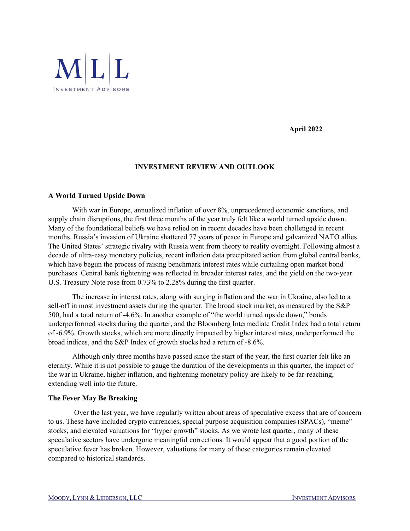

 **April 2022** 

## **INVESTMENT REVIEW AND OUTLOOK**

## **A World Turned Upside Down**

With war in Europe, annualized inflation of over 8%, unprecedented economic sanctions, and supply chain disruptions, the first three months of the year truly felt like a world turned upside down. Many of the foundational beliefs we have relied on in recent decades have been challenged in recent months. Russia's invasion of Ukraine shattered 77 years of peace in Europe and galvanized NATO allies. The United States' strategic rivalry with Russia went from theory to reality overnight. Following almost a decade of ultra-easy monetary policies, recent inflation data precipitated action from global central banks, which have begun the process of raising benchmark interest rates while curtailing open market bond purchases. Central bank tightening was reflected in broader interest rates, and the yield on the two-year U.S. Treasury Note rose from 0.73% to 2.28% during the first quarter.

The increase in interest rates, along with surging inflation and the war in Ukraine, also led to a sell-off in most investment assets during the quarter. The broad stock market, as measured by the S&P 500, had a total return of -4.6%. In another example of "the world turned upside down," bonds underperformed stocks during the quarter, and the Bloomberg Intermediate Credit Index had a total return of -6.9%. Growth stocks, which are more directly impacted by higher interest rates, underperformed the broad indices, and the S&P Index of growth stocks had a return of -8.6%.

 Although only three months have passed since the start of the year, the first quarter felt like an eternity. While it is not possible to gauge the duration of the developments in this quarter, the impact of the war in Ukraine, higher inflation, and tightening monetary policy are likely to be far-reaching, extending well into the future.

## **The Fever May Be Breaking**

 Over the last year, we have regularly written about areas of speculative excess that are of concern to us. These have included crypto currencies, special purpose acquisition companies (SPACs), "meme" stocks, and elevated valuations for "hyper growth" stocks. As we wrote last quarter, many of these speculative sectors have undergone meaningful corrections. It would appear that a good portion of the speculative fever has broken. However, valuations for many of these categories remain elevated compared to historical standards.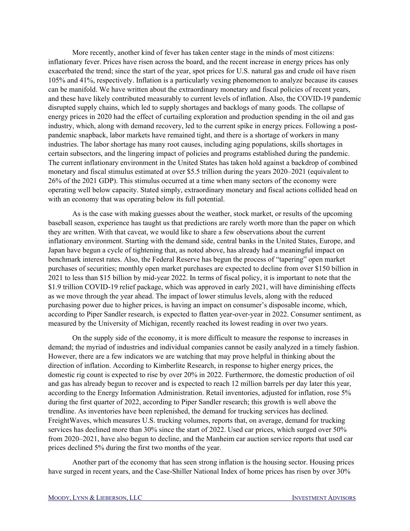More recently, another kind of fever has taken center stage in the minds of most citizens: inflationary fever. Prices have risen across the board, and the recent increase in energy prices has only exacerbated the trend; since the start of the year, spot prices for U.S. natural gas and crude oil have risen 105% and 41%, respectively. Inflation is a particularly vexing phenomenon to analyze because its causes can be manifold. We have written about the extraordinary monetary and fiscal policies of recent years, and these have likely contributed measurably to current levels of inflation. Also, the COVID-19 pandemic disrupted supply chains, which led to supply shortages and backlogs of many goods. The collapse of energy prices in 2020 had the effect of curtailing exploration and production spending in the oil and gas industry, which, along with demand recovery, led to the current spike in energy prices. Following a postpandemic snapback, labor markets have remained tight, and there is a shortage of workers in many industries. The labor shortage has many root causes, including aging populations, skills shortages in certain subsectors, and the lingering impact of policies and programs established during the pandemic. The current inflationary environment in the United States has taken hold against a backdrop of combined monetary and fiscal stimulus estimated at over \$5.5 trillion during the years 2020–2021 (equivalent to 26% of the 2021 GDP). This stimulus occurred at a time when many sectors of the economy were operating well below capacity. Stated simply, extraordinary monetary and fiscal actions collided head on with an economy that was operating below its full potential.

 As is the case with making guesses about the weather, stock market, or results of the upcoming baseball season, experience has taught us that predictions are rarely worth more than the paper on which they are written. With that caveat, we would like to share a few observations about the current inflationary environment. Starting with the demand side, central banks in the United States, Europe, and Japan have begun a cycle of tightening that, as noted above, has already had a meaningful impact on benchmark interest rates. Also, the Federal Reserve has begun the process of "tapering" open market purchases of securities; monthly open market purchases are expected to decline from over \$150 billion in 2021 to less than \$15 billion by mid-year 2022. In terms of fiscal policy, it is important to note that the \$1.9 trillion COVID-19 relief package, which was approved in early 2021, will have diminishing effects as we move through the year ahead. The impact of lower stimulus levels, along with the reduced purchasing power due to higher prices, is having an impact on consumer's disposable income, which, according to Piper Sandler research, is expected to flatten year-over-year in 2022. Consumer sentiment, as measured by the University of Michigan, recently reached its lowest reading in over two years.

 On the supply side of the economy, it is more difficult to measure the response to increases in demand; the myriad of industries and individual companies cannot be easily analyzed in a timely fashion. However, there are a few indicators we are watching that may prove helpful in thinking about the direction of inflation. According to Kimberlite Research, in response to higher energy prices, the domestic rig count is expected to rise by over 20% in 2022. Furthermore, the domestic production of oil and gas has already begun to recover and is expected to reach 12 million barrels per day later this year, according to the Energy Information Administration. Retail inventories, adjusted for inflation, rose 5% during the first quarter of 2022, according to Piper Sandler research; this growth is well above the trendline. As inventories have been replenished, the demand for trucking services has declined. FreightWaves, which measures U.S. trucking volumes, reports that, on average, demand for trucking services has declined more than 30% since the start of 2022. Used car prices, which surged over 50% from 2020–2021, have also begun to decline, and the Manheim car auction service reports that used car prices declined 5% during the first two months of the year.

 Another part of the economy that has seen strong inflation is the housing sector. Housing prices have surged in recent years, and the Case-Shiller National Index of home prices has risen by over 30%